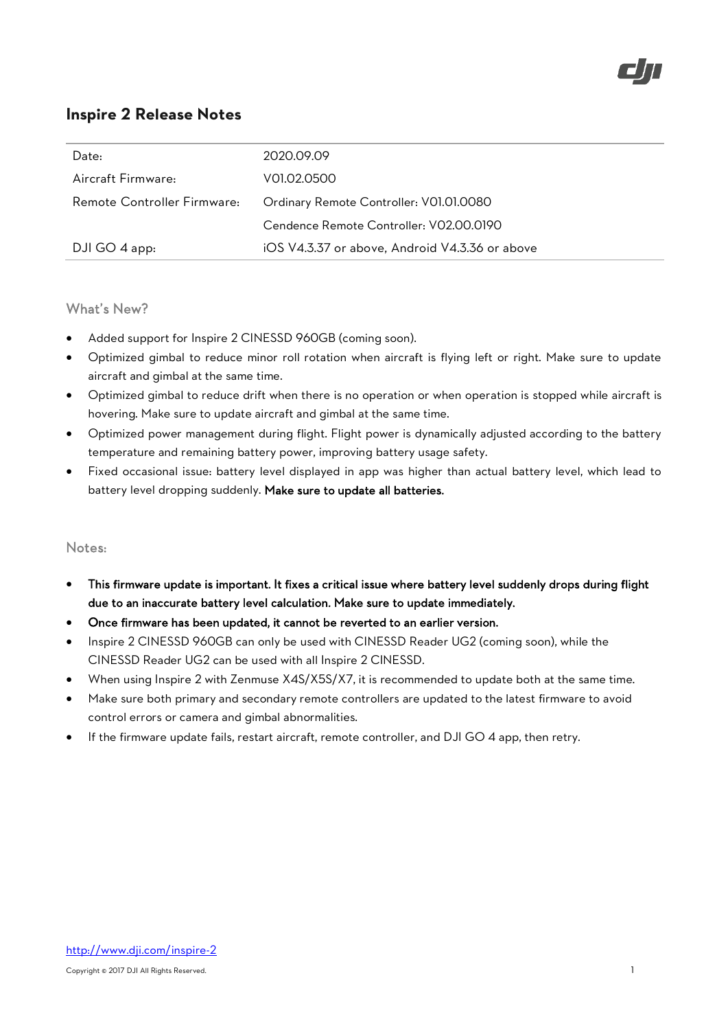

| Date:                       | 2020.09.09                                     |
|-----------------------------|------------------------------------------------|
| Aircraft Firmware:          | V01.02.0500                                    |
| Remote Controller Firmware: | Ordinary Remote Controller: V01.01.0080        |
|                             | Cendence Remote Controller: V02.00.0190        |
| DJI GO 4 app:               | iOS V4.3.37 or above, Android V4.3.36 or above |

## What's New?

- Added support for Inspire 2 CINESSD 960GB (coming soon).
- Optimized gimbal to reduce minor roll rotation when aircraft is flying left or right. Make sure to update aircraft and gimbal at the same time.
- Optimized gimbal to reduce drift when there is no operation or when operation is stopped while aircraft is hovering. Make sure to update aircraft and gimbal at the same time.
- Optimized power management during flight. Flight power is dynamically adjusted according to the battery temperature and remaining battery power, improving battery usage safety.
- Fixed occasional issue: battery level displayed in app was higher than actual battery level, which lead to battery level dropping suddenly. Make sure to update all batteries.

- This firmware update is important. It fixes a critical issue where battery level suddenly drops during flight due to an inaccurate battery level calculation. Make sure to update immediately.
- Once firmware has been updated, it cannot be reverted to an earlier version.
- Inspire 2 CINESSD 960GB can only be used with CINESSD Reader UG2 (coming soon), while the CINESSD Reader UG2 can be used with all Inspire 2 CINESSD.
- When using Inspire 2 with Zenmuse X4S/X5S/X7, it is recommended to update both at the same time.
- Make sure both primary and secondary remote controllers are updated to the latest firmware to avoid control errors or camera and gimbal abnormalities.
- If the firmware update fails, restart aircraft, remote controller, and DJI GO 4 app, then retry.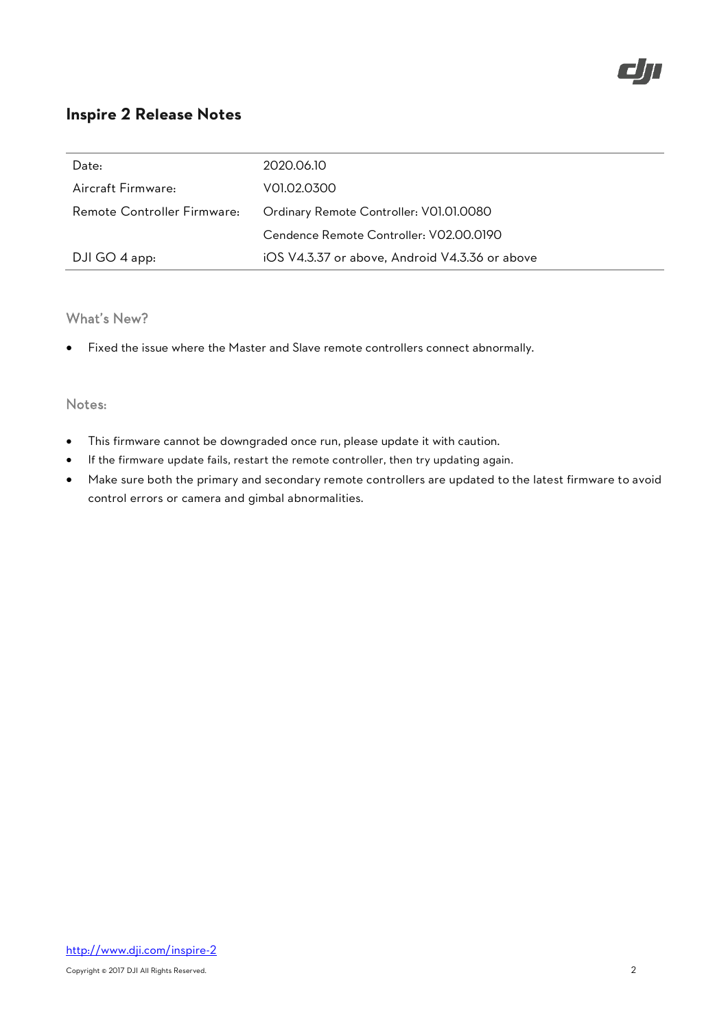| Date:                       | 2020.06.10                                     |
|-----------------------------|------------------------------------------------|
| Aircraft Firmware:          | V01.02.0300                                    |
| Remote Controller Firmware: | Ordinary Remote Controller: V01.01.0080        |
|                             | Cendence Remote Controller: V02.00.0190        |
| DJI GO 4 app:               | iOS V4.3.37 or above, Android V4.3.36 or above |

## What's New?

Fixed the issue where the Master and Slave remote controllers connect abnormally.

- This firmware cannot be downgraded once run, please update it with caution.
- If the firmware update fails, restart the remote controller, then try updating again.
- Make sure both the primary and secondary remote controllers are updated to the latest firmware to avoid control errors or camera and gimbal abnormalities.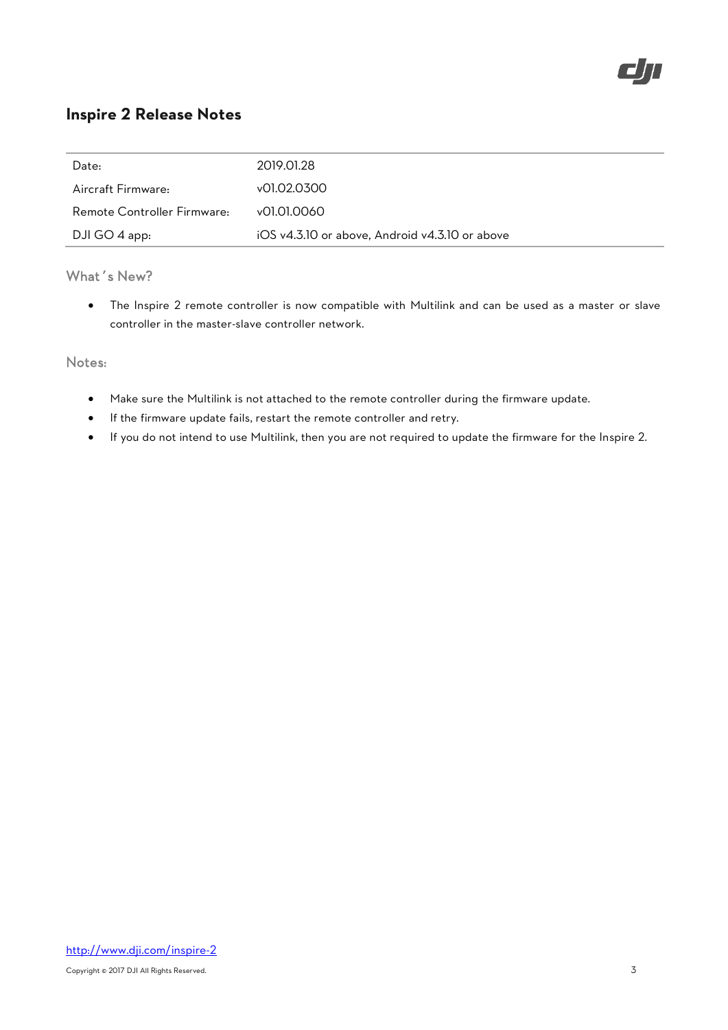

| Date:                       | 2019.01.28                                     |
|-----------------------------|------------------------------------------------|
| Aircraft Firmware:          | v01.02.0300                                    |
| Remote Controller Firmware: | v01.01.0060                                    |
| DJI GO 4 app:               | iOS v4.3.10 or above, Android v4.3.10 or above |

## What's New?

 The Inspire 2 remote controller is now compatible with Multilink and can be used as a master or slave controller in the master-slave controller network.

- Make sure the Multilink is not attached to the remote controller during the firmware update.
- If the firmware update fails, restart the remote controller and retry.
- If you do not intend to use Multilink, then you are not required to update the firmware for the Inspire 2.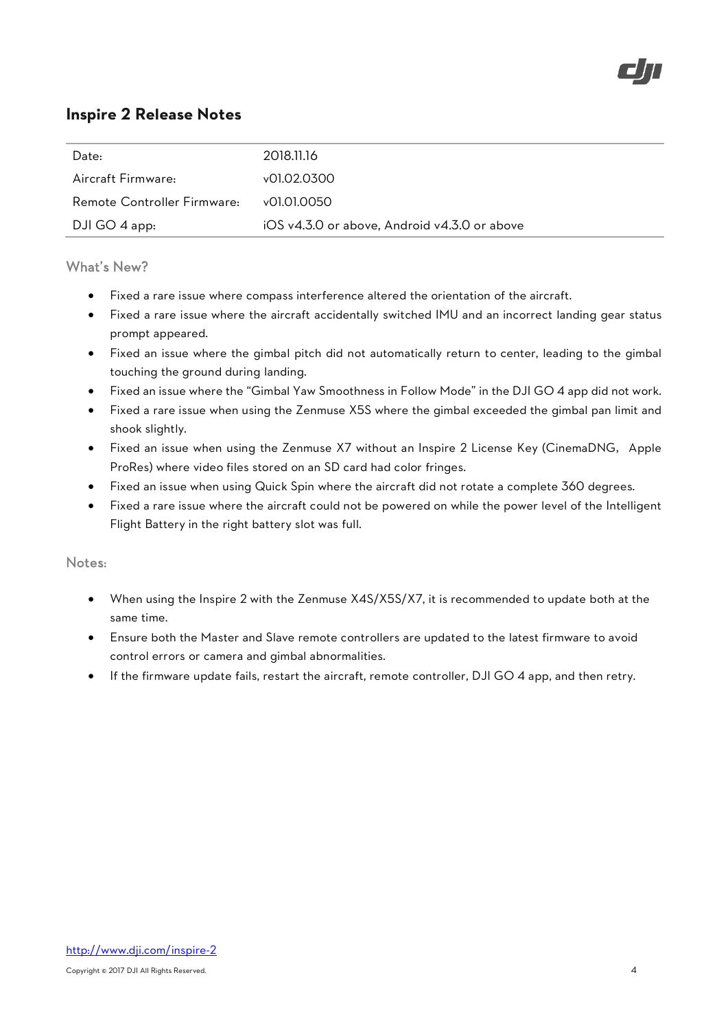

| Date:                       | 2018.11.16                                   |
|-----------------------------|----------------------------------------------|
| Aircraft Firmware:          | v01.02.0300                                  |
| Remote Controller Firmware: | v01.01.0050                                  |
| DJI GO 4 app:               | iOS v4.3.0 or above, Android v4.3.0 or above |

## What's New?

- Fixed a rare issue where compass interference altered the orientation of the aircraft.
- Fixed a rare issue where the aircraft accidentally switched IMU and an incorrect landing gear status prompt appeared.
- Fixed an issue where the gimbal pitch did not automatically return to center, leading to the gimbal touching the ground during landing.
- Fixed an issue where the "Gimbal Yaw Smoothness in Follow Mode" in the DJI GO 4 app did not work.
- Fixed a rare issue when using the Zenmuse X5S where the gimbal exceeded the gimbal pan limit and shook slightly.
- Fixed an issue when using the Zenmuse X7 without an Inspire 2 License Key (CinemaDNG, Apple ProRes) where video files stored on an SD card had color fringes.
- Fixed an issue when using Quick Spin where the aircraft did not rotate a complete 360 degrees.
- Fixed a rare issue where the aircraft could not be powered on while the power level of the Intelligent Flight Battery in the right battery slot was full.

- When using the Inspire 2 with the Zenmuse X4S/X5S/X7, it is recommended to update both at the same time.
- Ensure both the Master and Slave remote controllers are updated to the latest firmware to avoid control errors or camera and gimbal abnormalities.
- If the firmware update fails, restart the aircraft, remote controller, DJI GO 4 app, and then retry.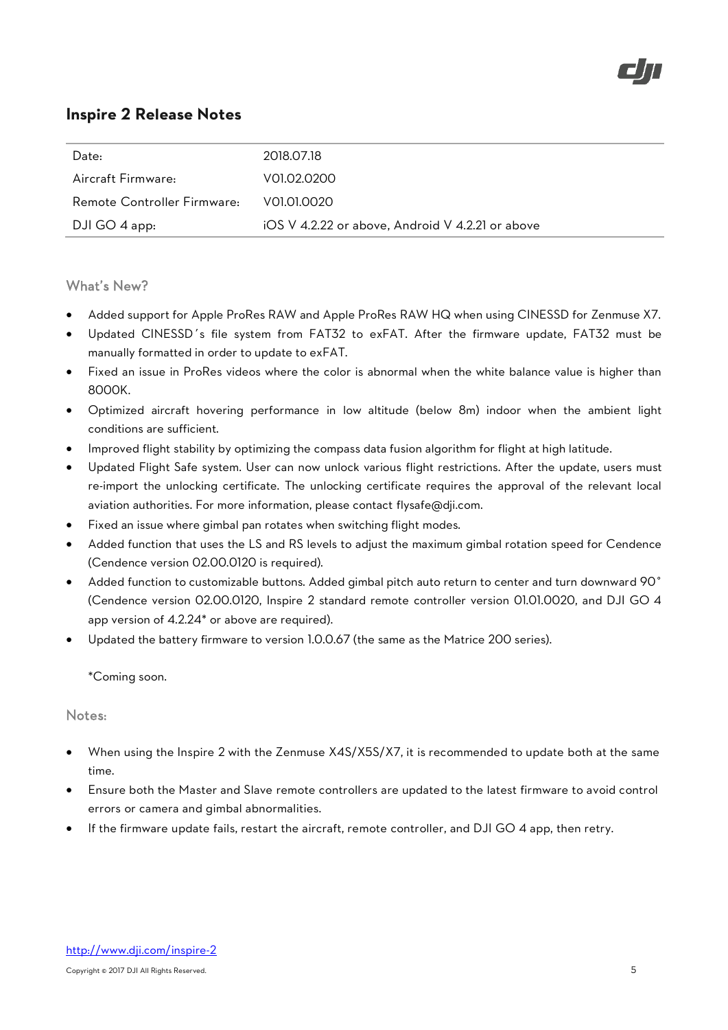

| Date:                       | 2018.07.18                                       |
|-----------------------------|--------------------------------------------------|
| Aircraft Firmware:          | VOL02.0200                                       |
| Remote Controller Firmware: | VOL01.0020                                       |
| DJI GO 4 app:               | iOS V 4.2.22 or above, Android V 4.2.21 or above |

### What's New?

- Added support for Apple ProRes RAW and Apple ProRes RAW HQ when using CINESSD for Zenmuse X7.
- Updated CINESSD's file system from FAT32 to exFAT. After the firmware update, FAT32 must be manually formatted in order to update to exFAT.
- Fixed an issue in ProRes videos where the color is abnormal when the white balance value is higher than 8000K.
- Optimized aircraft hovering performance in low altitude (below 8m) indoor when the ambient light conditions are sufficient.
- Improved flight stability by optimizing the compass data fusion algorithm for flight at high latitude.
- Updated Flight Safe system. User can now unlock various flight restrictions. After the update, users must re-import the unlocking certificate. The unlocking certificate requires the approval of the relevant local aviation authorities. For more information, please contact [flysafe@dji.com.](mailto:flysafe@dji.com)
- Fixed an issue where gimbal pan rotates when switching flight modes.
- Added function that uses the LS and RS levels to adjust the maximum gimbal rotation speed for Cendence (Cendence version 02.00.0120 is required).
- Added function to customizable buttons. Added gimbal pitch auto return to center and turn downward 90° (Cendence version 02.00.0120, Inspire 2 standard remote controller version 01.01.0020, and DJI GO 4 app version of 4.2.24\* or above are required).
- Updated the battery firmware to version 1.0.0.67 (the same as the Matrice 200 series).

\*Coming soon.

- When using the Inspire 2 with the Zenmuse X4S/X5S/X7, it is recommended to update both at the same time.
- Ensure both the Master and Slave remote controllers are updated to the latest firmware to avoid control errors or camera and gimbal abnormalities.
- If the firmware update fails, restart the aircraft, remote controller, and DJI GO 4 app, then retry.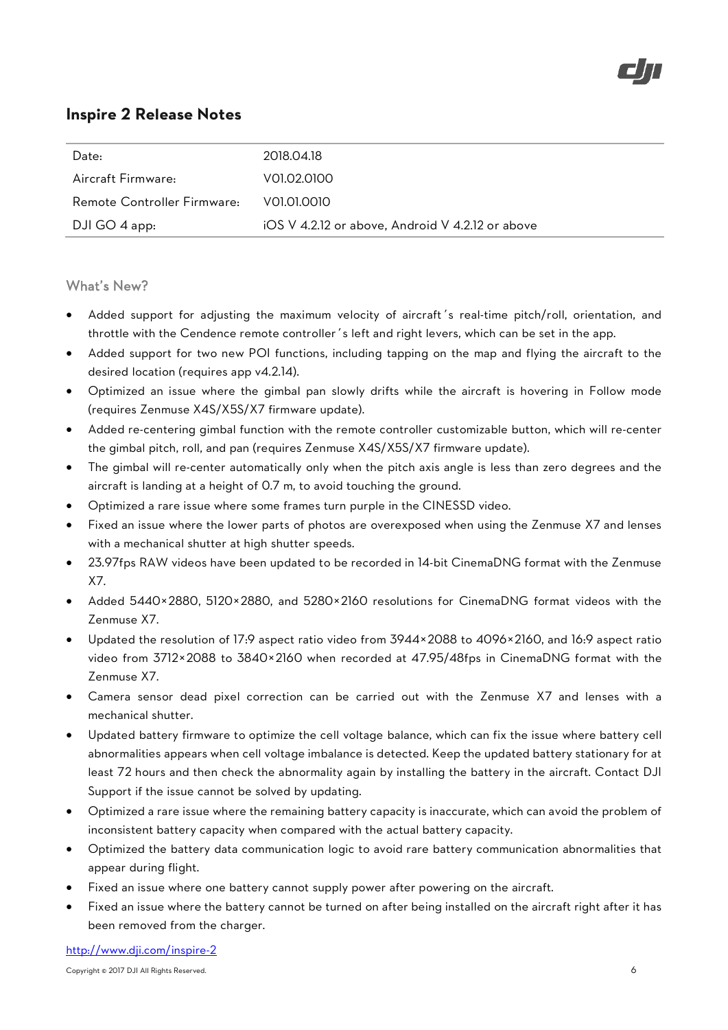

| Date:                       | 2018.04.18                                       |
|-----------------------------|--------------------------------------------------|
| Aircraft Firmware:          | V01.02.0100                                      |
| Remote Controller Firmware: | VOLOLOOIO                                        |
| DJI GO 4 app:               | iOS V 4.2.12 or above, Android V 4.2.12 or above |

### What's New?

- Added support for adjusting the maximum velocity of aircraft's real-time pitch/roll, orientation, and throttle with the Cendence remote controller's left and right levers, which can be set in the app.
- Added support for two new POI functions, including tapping on the map and flying the aircraft to the desired location (requires app v4.2.14).
- Optimized an issue where the gimbal pan slowly drifts while the aircraft is hovering in Follow mode (requires Zenmuse X4S/X5S/X7 firmware update).
- Added re-centering gimbal function with the remote controller customizable button, which will re-center the gimbal pitch, roll, and pan (requires Zenmuse X4S/X5S/X7 firmware update).
- The gimbal will re-center automatically only when the pitch axis angle is less than zero degrees and the aircraft is landing at a height of 0.7 m, to avoid touching the ground.
- Optimized a rare issue where some frames turn purple in the CINESSD video.
- Fixed an issue where the lower parts of photos are overexposed when using the Zenmuse X7 and lenses with a mechanical shutter at high shutter speeds.
- 23.97fps RAW videos have been updated to be recorded in 14-bit CinemaDNG format with the Zenmuse X7.
- Added 5440×2880, 5120×2880, and 5280×2160 resolutions for CinemaDNG format videos with the Zenmuse X7.
- Updated the resolution of 17:9 aspect ratio video from 3944×2088 to 4096×2160, and 16:9 aspect ratio video from 3712×2088 to 3840×2160 when recorded at 47.95/48fps in CinemaDNG format with the Zenmuse X7.
- Camera sensor dead pixel correction can be carried out with the Zenmuse X7 and lenses with a mechanical shutter.
- Updated battery firmware to optimize the cell voltage balance, which can fix the issue where battery cell abnormalities appears when cell voltage imbalance is detected. Keep the updated battery stationary for at least 72 hours and then check the abnormality again by installing the battery in the aircraft. Contact DJI Support if the issue cannot be solved by updating.
- Optimized a rare issue where the remaining battery capacity is inaccurate, which can avoid the problem of inconsistent battery capacity when compared with the actual battery capacity.
- Optimized the battery data communication logic to avoid rare battery communication abnormalities that appear during flight.
- Fixed an issue where one battery cannot supply power after powering on the aircraft.
- Fixed an issue where the battery cannot be turned on after being installed on the aircraft right after it has been removed from the charger.

http://www.dji.com/inspire-2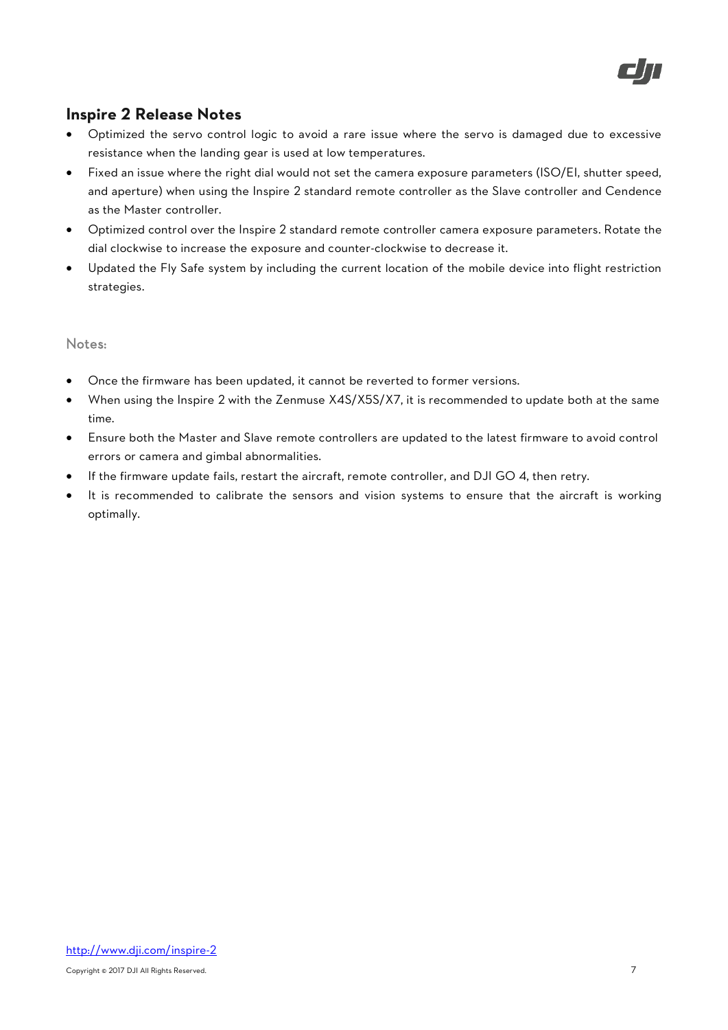

- Optimized the servo control logic to avoid a rare issue where the servo is damaged due to excessive resistance when the landing gear is used at low temperatures.
- Fixed an issue where the right dial would not set the camera exposure parameters (ISO/EI, shutter speed, and aperture) when using the Inspire 2 standard remote controller as the Slave controller and Cendence as the Master controller.
- Optimized control over the Inspire 2 standard remote controller camera exposure parameters. Rotate the dial clockwise to increase the exposure and counter-clockwise to decrease it.
- Updated the Fly Safe system by including the current location of the mobile device into flight restriction strategies.

- Once the firmware has been updated, it cannot be reverted to former versions.
- When using the Inspire 2 with the Zenmuse X4S/X5S/X7, it is recommended to update both at the same time.
- Ensure both the Master and Slave remote controllers are updated to the latest firmware to avoid control errors or camera and gimbal abnormalities.
- If the firmware update fails, restart the aircraft, remote controller, and DJI GO 4, then retry.
- It is recommended to calibrate the sensors and vision systems to ensure that the aircraft is working optimally.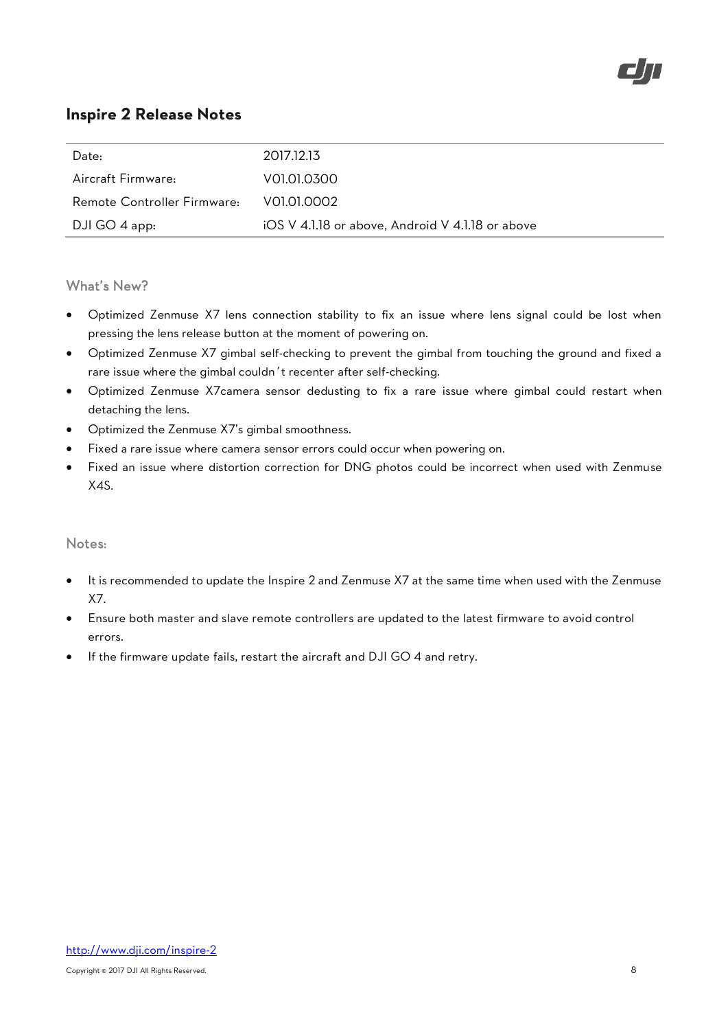

| Date:                       | 2017.12.13                                       |
|-----------------------------|--------------------------------------------------|
| Aircraft Firmware:          | VOLOL0300                                        |
| Remote Controller Firmware: | VOLOL0002                                        |
| DJI GO 4 app:               | iOS V 4.1.18 or above, Android V 4.1.18 or above |

### What's New?

- Optimized Zenmuse X7 lens connection stability to fix an issue where lens signal could be lost when pressing the lens release button at the moment of powering on.
- Optimized Zenmuse X7 gimbal self-checking to prevent the gimbal from touching the ground and fixed a rare issue where the gimbal couldn't recenter after self-checking.
- Optimized Zenmuse X7camera sensor dedusting to fix a rare issue where gimbal could restart when detaching the lens.
- Optimized the Zenmuse X7's gimbal smoothness.
- Fixed a rare issue where camera sensor errors could occur when powering on.
- Fixed an issue where distortion correction for DNG photos could be incorrect when used with Zenmuse X4S.

- It is recommended to update the Inspire 2 and Zenmuse X7 at the same time when used with the Zenmuse X7.
- Ensure both master and slave remote controllers are updated to the latest firmware to avoid control errors.
- If the firmware update fails, restart the aircraft and DJI GO 4 and retry.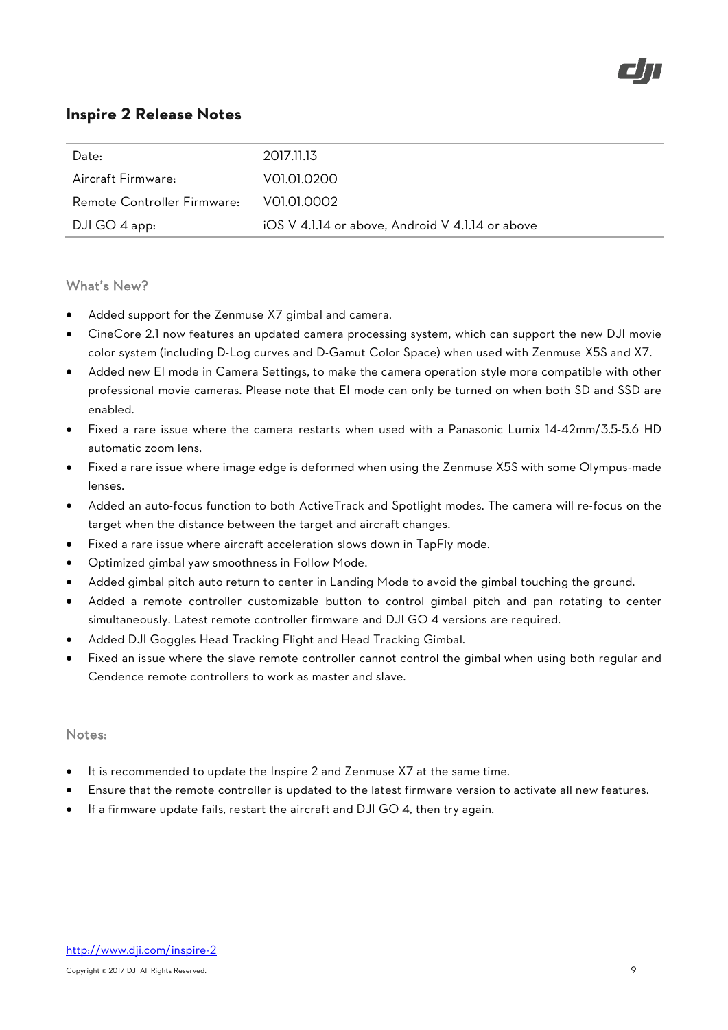

| Date:                       | 2017.11.13                                       |
|-----------------------------|--------------------------------------------------|
| Aircraft Firmware:          | VOI.01.0200                                      |
| Remote Controller Firmware: | VOL01,0002                                       |
| DJI GO 4 app:               | iOS V 4.1.14 or above, Android V 4.1.14 or above |

### What's New?

- Added support for the Zenmuse X7 gimbal and camera.
- CineCore 2.1 now features an updated camera processing system, which can support the new DJI movie color system (including D-Log curves and D-Gamut Color Space) when used with Zenmuse X5S and X7.
- Added new EI mode in Camera Settings, to make the camera operation style more compatible with other professional movie cameras. Please note that EI mode can only be turned on when both SD and SSD are enabled.
- Fixed a rare issue where the camera restarts when used with a Panasonic Lumix 14-42mm/3.5-5.6 HD automatic zoom lens.
- Fixed a rare issue where image edge is deformed when using the Zenmuse X5S with some Olympus-made lenses.
- Added an auto-focus function to both ActiveTrack and Spotlight modes. The camera will re-focus on the target when the distance between the target and aircraft changes.
- Fixed a rare issue where aircraft acceleration slows down in TapFly mode.
- Optimized gimbal yaw smoothness in Follow Mode.
- Added gimbal pitch auto return to center in Landing Mode to avoid the gimbal touching the ground.
- Added a remote controller customizable button to control gimbal pitch and pan rotating to center simultaneously. Latest remote controller firmware and DJI GO 4 versions are required.
- Added DJI Goggles Head Tracking Flight and Head Tracking Gimbal.
- Fixed an issue where the slave remote controller cannot control the gimbal when using both regular and Cendence remote controllers to work as master and slave.

- It is recommended to update the Inspire 2 and Zenmuse X7 at the same time.
- Ensure that the remote controller is updated to the latest firmware version to activate all new features.
- If a firmware update fails, restart the aircraft and DJI GO 4, then try again.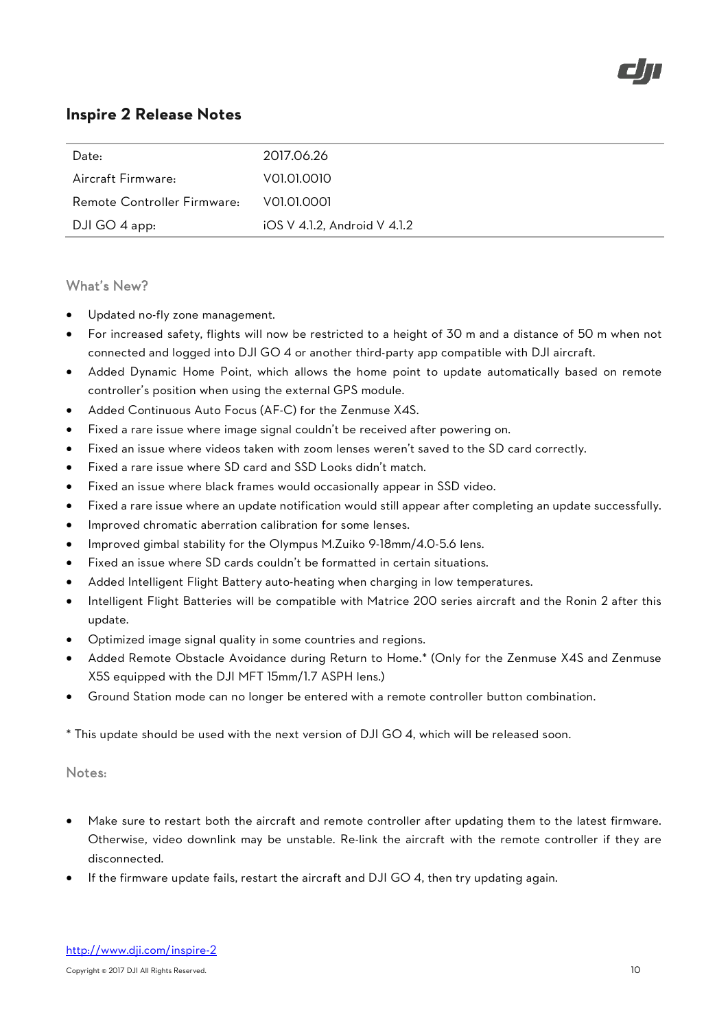

| Date:                       | 2017.06.26                   |
|-----------------------------|------------------------------|
| Aircraft Firmware:          | V01.01.0010                  |
| Remote Controller Firmware: | V01.01.0001                  |
| DJI GO 4 app:               | iOS V 4.1.2, Android V 4.1.2 |

### What's New?

- Updated no-fly zone management.
- For increased safety, flights will now be restricted to a height of 30 m and a distance of 50 m when not connected and logged into DJI GO 4 or another third-party app compatible with DJI aircraft.
- Added Dynamic Home Point, which allows the home point to update automatically based on remote controller's position when using the external GPS module.
- Added Continuous Auto Focus (AF-C) for the Zenmuse X4S.
- Fixed a rare issue where image signal couldn't be received after powering on.
- Fixed an issue where videos taken with zoom lenses weren't saved to the SD card correctly.
- Fixed a rare issue where SD card and SSD Looks didn't match.
- Fixed an issue where black frames would occasionally appear in SSD video.
- Fixed a rare issue where an update notification would still appear after completing an update successfully.
- Improved chromatic aberration calibration for some lenses.
- Improved gimbal stability for the Olympus M.Zuiko 9-18mm/4.0-5.6 lens.
- Fixed an issue where SD cards couldn't be formatted in certain situations.
- Added Intelligent Flight Battery auto-heating when charging in low temperatures.
- Intelligent Flight Batteries will be compatible with Matrice 200 series aircraft and the Ronin 2 after this update.
- Optimized image signal quality in some countries and regions.
- Added Remote Obstacle Avoidance during Return to Home.\* (Only for the Zenmuse X4S and Zenmuse X5S equipped with the DJI MFT 15mm/1.7 ASPH lens.)
- Ground Station mode can no longer be entered with a remote controller button combination.

\* This update should be used with the next version of DJI GO 4, which will be released soon.

- Make sure to restart both the aircraft and remote controller after updating them to the latest firmware. Otherwise, video downlink may be unstable. Re-link the aircraft with the remote controller if they are disconnected.
- If the firmware update fails, restart the aircraft and DJI GO 4, then try updating again.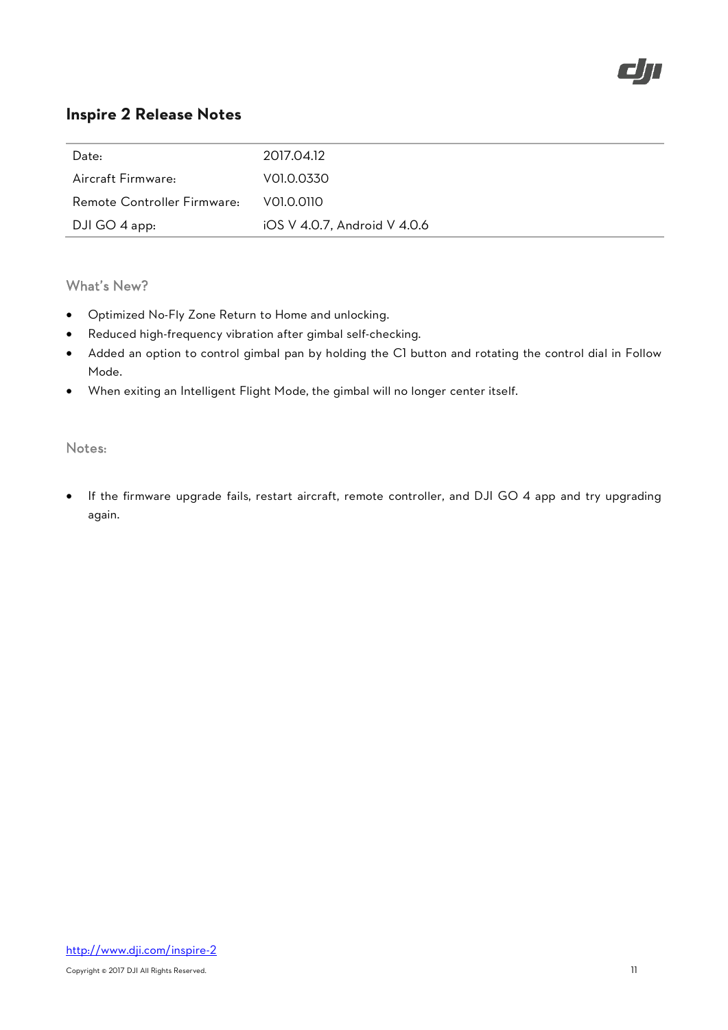

| Date:                       | 2017.04.12                   |
|-----------------------------|------------------------------|
| Aircraft Firmware:          | V01.0.0330                   |
| Remote Controller Firmware: | VOLO.O110                    |
| DJI GO 4 app:               | iOS V 4.0.7, Android V 4.0.6 |

## What's New?

- Optimized No-Fly Zone Return to Home and unlocking.
- Reduced high-frequency vibration after gimbal self-checking.
- Added an option to control gimbal pan by holding the C1 button and rotating the control dial in Follow Mode.
- When exiting an Intelligent Flight Mode, the gimbal will no longer center itself.

## Notes:

 If the firmware upgrade fails, restart aircraft, remote controller, and DJI GO 4 app and try upgrading again.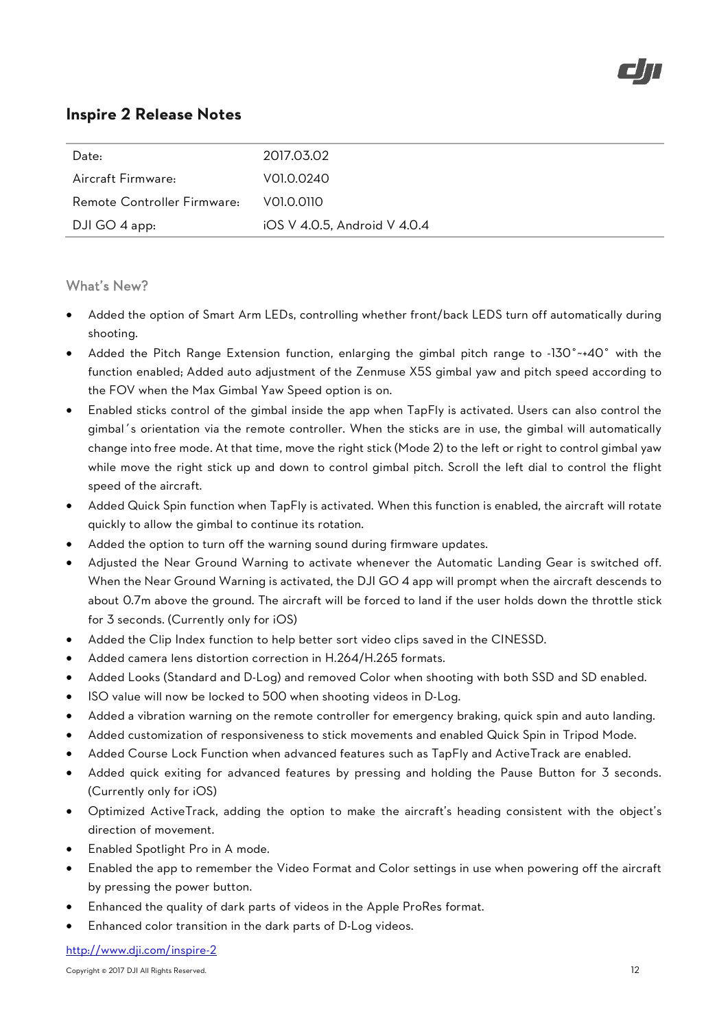

| Date:                       | 2017.03.02                   |
|-----------------------------|------------------------------|
| Aircraft Firmware:          | V01.0.0240                   |
| Remote Controller Firmware: | V01.0.0110                   |
| DJI GO 4 app:               | iOS V 4.0.5, Android V 4.0.4 |

### What's New?

- Added the option of Smart Arm LEDs, controlling whether front/back LEDS turn off automatically during shooting.
- Added the Pitch Range Extension function, enlarging the gimbal pitch range to -130°~+40° with the function enabled; Added auto adjustment of the Zenmuse X5S gimbal yaw and pitch speed according to the FOV when the Max Gimbal Yaw Speed option is on.
- Enabled sticks control of the gimbal inside the app when TapFly is activated. Users can also control the gimbal's orientation via the remote controller. When the sticks are in use, the gimbal will automatically change into free mode. At that time, move the right stick (Mode 2) to the left or right to control gimbal yaw while move the right stick up and down to control gimbal pitch. Scroll the left dial to control the flight speed of the aircraft.
- Added Quick Spin function when TapFly is activated. When this function is enabled, the aircraft will rotate quickly to allow the gimbal to continue its rotation.
- Added the option to turn off the warning sound during firmware updates.
- Adjusted the Near Ground Warning to activate whenever the Automatic Landing Gear is switched off. When the Near Ground Warning is activated, the DJI GO 4 app will prompt when the aircraft descends to about 0.7m above the ground. The aircraft will be forced to land if the user holds down the throttle stick for 3 seconds. (Currently only for iOS)
- Added the Clip Index function to help better sort video clips saved in the CINESSD.
- Added camera lens distortion correction in H.264/H.265 formats.
- Added Looks (Standard and D-Log) and removed Color when shooting with both SSD and SD enabled.
- ISO value will now be locked to 500 when shooting videos in D-Log.
- Added a vibration warning on the remote controller for emergency braking, quick spin and auto landing.
- Added customization of responsiveness to stick movements and enabled Quick Spin in Tripod Mode.
- Added Course Lock Function when advanced features such as TapFly and ActiveTrack are enabled.
- Added quick exiting for advanced features by pressing and holding the Pause Button for 3 seconds. (Currently only for iOS)
- Optimized ActiveTrack, adding the option to make the aircraft's heading consistent with the object's direction of movement.
- Enabled Spotlight Pro in A mode.
- Enabled the app to remember the Video Format and Color settings in use when powering off the aircraft by pressing the power button.
- Enhanced the quality of dark parts of videos in the Apple ProRes format.
- Enhanced color transition in the dark parts of D-Log videos.

http://www.dji.com/inspire-2